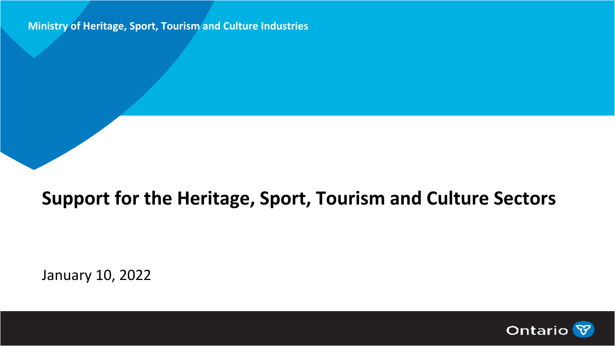#### **Ministry of Heritage, Sport, Tourism and Culture Industries**

### **Support for the Heritage, Sport, Tourism and Culture Sectors**

January 10, 2022

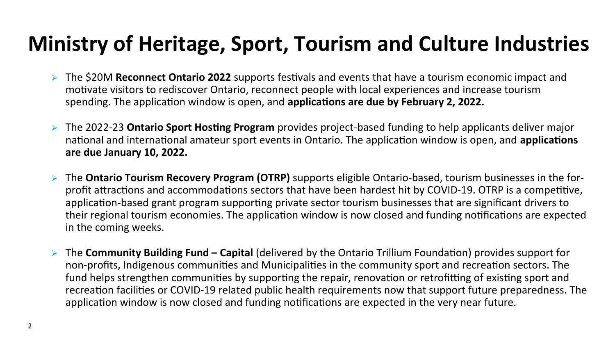# **Ministry of Heritage, Sport, Tourism and Culture Industries**

- ➢ The \$20M **Reconnect Ontario 2022** supports festivals and events that have a tourism economic impact and motivate visitors to rediscover Ontario, reconnect people with local experiences and increase tourism spending. The application window is open, and **applications are due by February 2, 2022.**
- ➢ The 2022-23 **Ontario Sport Hosting Program** provides project-based funding to help applicants deliver major national and international amateur sport events in Ontario. The application window is open, and **applications are due January 10, 2022.**
- ➢ The **Ontario Tourism Recovery Program (OTRP)** supports eligible Ontario-based, tourism businesses in the forprofit attractions and accommodations sectors that have been hardest hit by COVID-19. OTRP is a competitive, application-based grant program supporting private sector tourism businesses that are significant drivers to their regional tourism economies. The application window is now closed and funding notifications are expected in the coming weeks.
- ➢ The **Community Building Fund Capital** (delivered by the Ontario Trillium Foundation) provides support for non-profits, Indigenous communities and Municipalities in the community sport and recreation sectors. The fund helps strengthen communities by supporting the repair, renovation or retrofitting of existing sport and recreation facilities or COVID-19 related public health requirements now that support future preparedness. The application window is now closed and funding notifications are expected in the very near future.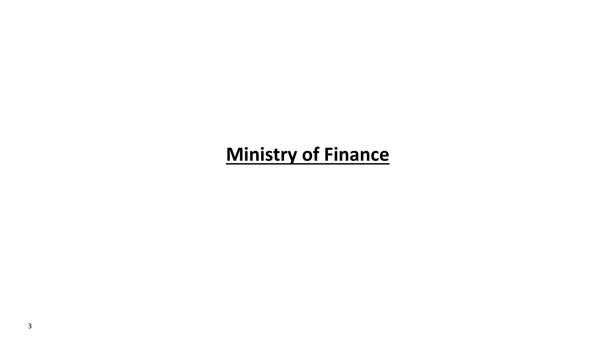### **Ministry of Finance**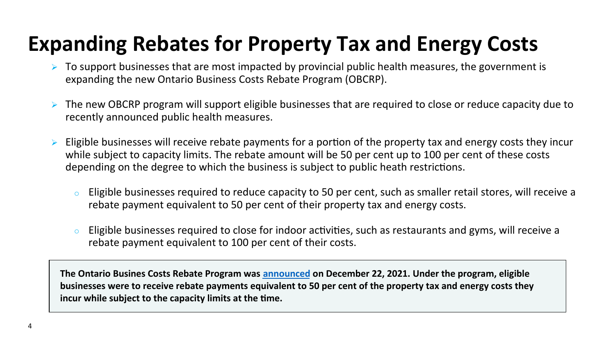## **Expanding Rebates for Property Tax and Energy Costs**

- ➢ To support businesses that are most impacted by provincial public health measures, the government is expanding the new Ontario Business Costs Rebate Program (OBCRP).
- ➢ The new OBCRP program will support eligible businesses that are required to close or reduce capacity due to recently announced public health measures.
- $\triangleright$  Eligible businesses will receive rebate payments for a portion of the property tax and energy costs they incur while subject to capacity limits. The rebate amount will be 50 per cent up to 100 per cent of these costs depending on the degree to which the business is subject to public heath restrictions.
	- $\circ$  Eligible businesses required to reduce capacity to 50 per cent, such as smaller retail stores, will receive a rebate payment equivalent to 50 per cent of their property tax and energy costs.
	- $\circ$  Eligible businesses required to close for indoor activities, such as restaurants and gyms, will receive a rebate payment equivalent to 100 per cent of their costs.

**The Ontario Busines Costs Rebate Program was announced on December 22, 2021. Under the program, eligible businesses were to receive rebate payments equivalent to 50 per cent of the property tax and energy costs they incur while subject to the capacity limits at the time.**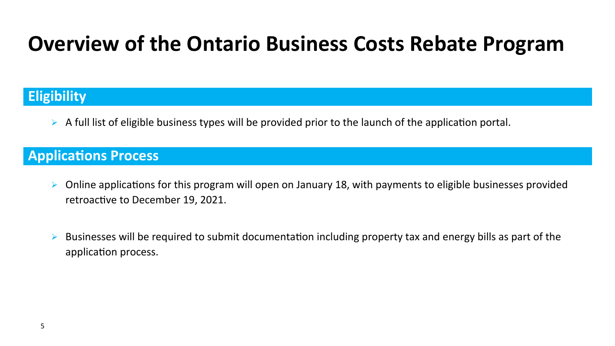## **Overview of the Ontario Business Costs Rebate Program**

### **Eligibility**

 $\triangleright$  A full list of eligible business types will be provided prior to the launch of the application portal.

### **Applications Process**

- ➢ Online applications for this program will open on January 18, with payments to eligible businesses provided retroactive to December 19, 2021.
- $\triangleright$  Businesses will be required to submit documentation including property tax and energy bills as part of the application process.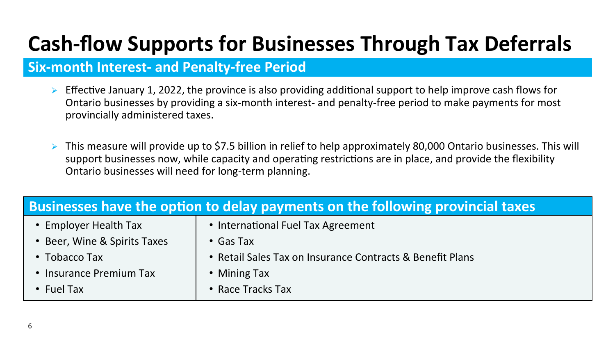# **Cash-flow Supports for Businesses Through Tax Deferrals**

### **Six-month Interest- and Penalty-free Period**

- ➢ Effective January 1, 2022, the province is also providing additional support to help improve cash flows for Ontario businesses by providing a six-month interest- and penalty-free period to make payments for most provincially administered taxes.
- $\triangleright$  This measure will provide up to \$7.5 billion in relief to help approximately 80,000 Ontario businesses. This will support businesses now, while capacity and operating restrictions are in place, and provide the flexibility Ontario businesses will need for long-term planning.

| Businesses have the option to delay payments on the following provincial taxes |                                                           |  |  |  |
|--------------------------------------------------------------------------------|-----------------------------------------------------------|--|--|--|
| • Employer Health Tax                                                          | • International Fuel Tax Agreement                        |  |  |  |
| • Beer, Wine & Spirits Taxes                                                   | $\cdot$ Gas Tax                                           |  |  |  |
| $\bullet$ Tobacco Tax                                                          | • Retail Sales Tax on Insurance Contracts & Benefit Plans |  |  |  |
| • Insurance Premium Tax                                                        | • Mining Tax                                              |  |  |  |
| $\cdot$ Fuel Tax                                                               | • Race Tracks Tax                                         |  |  |  |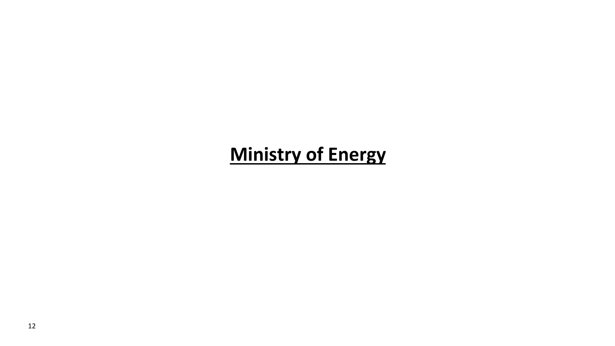## **Ministry of Energy**